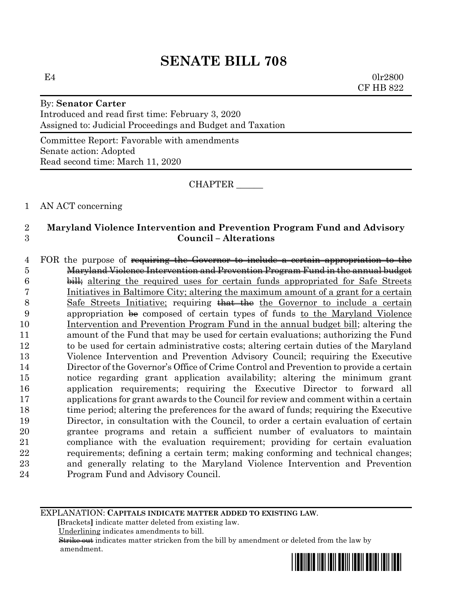$E4$  0lr2800 CF HB 822

# By: **Senator Carter** Introduced and read first time: February 3, 2020 Assigned to: Judicial Proceedings and Budget and Taxation

Committee Report: Favorable with amendments Senate action: Adopted Read second time: March 11, 2020

CHAPTER \_\_\_\_\_\_

# 1 AN ACT concerning

# 2 **Maryland Violence Intervention and Prevention Program Fund and Advisory**  3 **Council – Alterations**

4 FOR the purpose of requiring the Governor to include a certain appropriation to the Maryland Violence Intervention and Prevention Program Fund in the annual budget 6 bill; altering the required uses for certain funds appropriated for Safe Streets Initiatives in Baltimore City; altering the maximum amount of a grant for a certain 8 Safe Streets Initiative; requiring that the the Governor to include a certain appropriation be composed of certain types of funds to the Maryland Violence Intervention and Prevention Program Fund in the annual budget bill; altering the amount of the Fund that may be used for certain evaluations; authorizing the Fund to be used for certain administrative costs; altering certain duties of the Maryland Violence Intervention and Prevention Advisory Council; requiring the Executive Director of the Governor's Office of Crime Control and Prevention to provide a certain notice regarding grant application availability; altering the minimum grant application requirements; requiring the Executive Director to forward all applications for grant awards to the Council for review and comment within a certain 18 time period; altering the preferences for the award of funds; requiring the Executive Director, in consultation with the Council, to order a certain evaluation of certain grantee programs and retain a sufficient number of evaluators to maintain compliance with the evaluation requirement; providing for certain evaluation requirements; defining a certain term; making conforming and technical changes; and generally relating to the Maryland Violence Intervention and Prevention Program Fund and Advisory Council.

EXPLANATION: **CAPITALS INDICATE MATTER ADDED TO EXISTING LAW**.

 **[**Brackets**]** indicate matter deleted from existing law.

Underlining indicates amendments to bill.

 Strike out indicates matter stricken from the bill by amendment or deleted from the law by amendment.

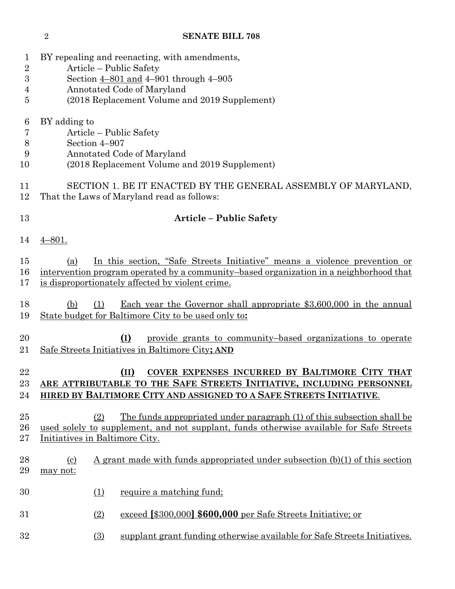| 1<br>$\overline{2}$ | BY repealing and reenacting, with amendments,<br>Article – Public Safety                                                                                                                                                       |
|---------------------|--------------------------------------------------------------------------------------------------------------------------------------------------------------------------------------------------------------------------------|
| 3                   | Section $4-801$ and $4-901$ through $4-905$                                                                                                                                                                                    |
| 4                   | Annotated Code of Maryland                                                                                                                                                                                                     |
| 5                   | (2018 Replacement Volume and 2019 Supplement)                                                                                                                                                                                  |
| 6                   | BY adding to                                                                                                                                                                                                                   |
| 7                   | Article - Public Safety                                                                                                                                                                                                        |
| 8<br>9              | Section 4-907<br>Annotated Code of Maryland                                                                                                                                                                                    |
| 10                  | (2018 Replacement Volume and 2019 Supplement)                                                                                                                                                                                  |
| 11<br>12            | SECTION 1. BE IT ENACTED BY THE GENERAL ASSEMBLY OF MARYLAND,<br>That the Laws of Maryland read as follows:                                                                                                                    |
| 13                  | <b>Article - Public Safety</b>                                                                                                                                                                                                 |
| 14                  | $4 - 801.$                                                                                                                                                                                                                     |
| 15<br>16<br>17      | In this section, "Safe Streets Initiative" means a violence prevention or<br>(a)<br>intervention program operated by a community-based organization in a neighborhood that<br>is disproportionately affected by violent crime. |
| 18<br>19            | Each year the Governor shall appropriate $$3,600,000$ in the annual<br>(b)<br>(1)<br>State budget for Baltimore City to be used only to:                                                                                       |
| 20<br>21            | (I)<br>provide grants to community-based organizations to operate<br>Safe Streets Initiatives in Baltimore City; AND                                                                                                           |
| 22<br>23<br>24      | COVER EXPENSES INCURRED BY BALTIMORE CITY THAT<br>$(\text{II})$<br>ARE ATTRIBUTABLE TO THE SAFE STREETS INITIATIVE, INCLUDING PERSONNEL<br>HIRED BY BALTIMORE CITY AND ASSIGNED TO A SAFE STREETS INITIATIVE.                  |
| 25<br>26<br>$27\,$  | <u>The funds appropriated under paragraph (1) of this subsection shall be</u><br>(2)<br>used solely to supplement, and not supplant, funds otherwise available for Safe Streets<br>Initiatives in Baltimore City.              |
| 28<br>29            | A grant made with funds appropriated under subsection (b)(1) of this section<br>$\left( \frac{c}{c} \right)$<br>may not:                                                                                                       |
| 30                  | (1)<br>require a matching fund;                                                                                                                                                                                                |
| $31\,$              | exceed [\$300,000] \$600,000 per Safe Streets Initiative; or<br>(2)                                                                                                                                                            |
| $32\,$              | (3)<br>supplant grant funding otherwise available for Safe Streets Initiatives.                                                                                                                                                |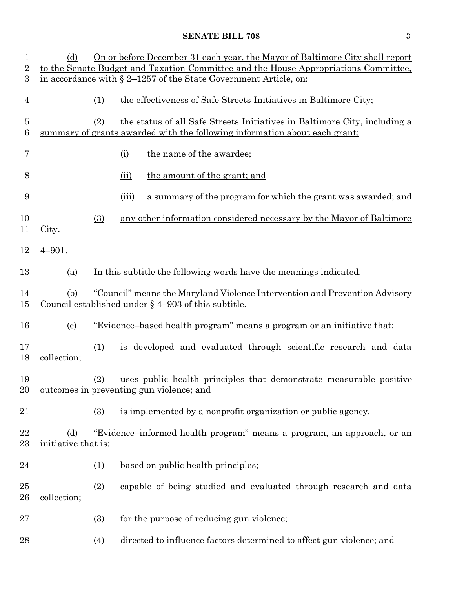| $\mathbf{1}$<br>$\overline{2}$ | (d)                        |                                                                                                                                      | On or before December 31 each year, the Mayor of Baltimore City shall report<br>to the Senate Budget and Taxation Committee and the House Appropriations Committee, |  |  |
|--------------------------------|----------------------------|--------------------------------------------------------------------------------------------------------------------------------------|---------------------------------------------------------------------------------------------------------------------------------------------------------------------|--|--|
| 3                              |                            |                                                                                                                                      | in accordance with § 2-1257 of the State Government Article, on:                                                                                                    |  |  |
| $\overline{4}$                 |                            | (1)                                                                                                                                  | the effectiveness of Safe Streets Initiatives in Baltimore City;                                                                                                    |  |  |
| 5<br>6                         |                            | (2)                                                                                                                                  | the status of all Safe Streets Initiatives in Baltimore City, including a<br>summary of grants awarded with the following information about each grant:             |  |  |
| 7                              |                            |                                                                                                                                      | the name of the awardee;<br>(i)                                                                                                                                     |  |  |
| 8                              |                            |                                                                                                                                      | the amount of the grant; and<br>(ii)                                                                                                                                |  |  |
| 9                              |                            |                                                                                                                                      | a summary of the program for which the grant was awarded; and<br>(iii)                                                                                              |  |  |
| 10<br>11                       | City.                      | (3)                                                                                                                                  | any other information considered necessary by the Mayor of Baltimore                                                                                                |  |  |
| 12                             | $4 - 901.$                 |                                                                                                                                      |                                                                                                                                                                     |  |  |
| 13                             | (a)                        |                                                                                                                                      | In this subtitle the following words have the meanings indicated.                                                                                                   |  |  |
| 14<br>15                       | (b)                        | "Council" means the Maryland Violence Intervention and Prevention Advisory<br>Council established under $\S$ 4–903 of this subtitle. |                                                                                                                                                                     |  |  |
| 16                             | $\left( \text{c} \right)$  |                                                                                                                                      | "Evidence-based health program" means a program or an initiative that:                                                                                              |  |  |
| 17<br>18                       | collection;                | (1)                                                                                                                                  | is developed and evaluated through scientific research and data                                                                                                     |  |  |
| 19<br>20                       |                            | (2)                                                                                                                                  | uses public health principles that demonstrate measurable positive<br>outcomes in preventing gun violence; and                                                      |  |  |
| 21                             |                            | (3)                                                                                                                                  | is implemented by a nonprofit organization or public agency.                                                                                                        |  |  |
| 22<br>23                       | (d)<br>initiative that is: |                                                                                                                                      | "Evidence-informed health program" means a program, an approach, or an                                                                                              |  |  |
| 24                             |                            | (1)                                                                                                                                  | based on public health principles;                                                                                                                                  |  |  |
| $25\,$<br>26                   | collection;                | (2)                                                                                                                                  | capable of being studied and evaluated through research and data                                                                                                    |  |  |
| 27                             |                            | (3)                                                                                                                                  | for the purpose of reducing gun violence;                                                                                                                           |  |  |
| 28                             |                            | (4)                                                                                                                                  | directed to influence factors determined to affect gun violence; and                                                                                                |  |  |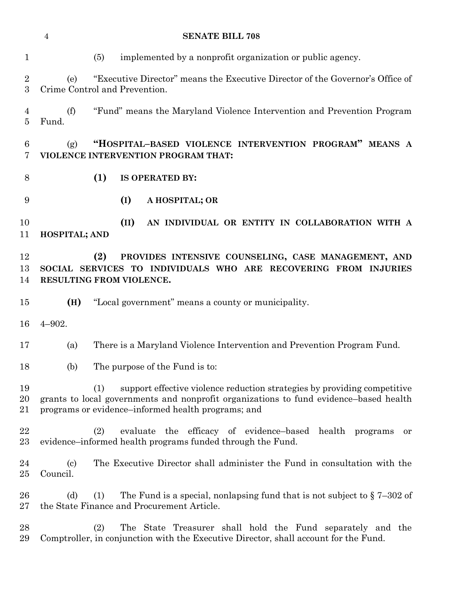| $\mathbf{1}$                     | implemented by a nonprofit organization or public agency.<br>(5)                                                                                                                                                               |
|----------------------------------|--------------------------------------------------------------------------------------------------------------------------------------------------------------------------------------------------------------------------------|
| $\overline{2}$<br>3              | "Executive Director" means the Executive Director of the Governor's Office of<br>(e)<br>Crime Control and Prevention.                                                                                                          |
| $\overline{4}$<br>$\overline{5}$ | "Fund" means the Maryland Violence Intervention and Prevention Program<br>(f)<br>Fund.                                                                                                                                         |
| 6<br>7                           | "HOSPITAL-BASED VIOLENCE INTERVENTION PROGRAM" MEANS A<br>(g)<br>VIOLENCE INTERVENTION PROGRAM THAT:                                                                                                                           |
| 8                                | (1)<br>IS OPERATED BY:                                                                                                                                                                                                         |
| 9                                | (I)<br>A HOSPITAL; OR                                                                                                                                                                                                          |
| 10<br>11                         | (II)<br>AN INDIVIDUAL OR ENTITY IN COLLABORATION WITH A<br>HOSPITAL; AND                                                                                                                                                       |
| 12<br>13<br>14                   | (2)<br>PROVIDES INTENSIVE COUNSELING, CASE MANAGEMENT, AND<br>SOCIAL SERVICES TO INDIVIDUALS WHO ARE RECOVERING FROM INJURIES<br>RESULTING FROM VIOLENCE.                                                                      |
| 15                               | "Local government" means a county or municipality.<br>(H)                                                                                                                                                                      |
| 16                               | $4 - 902.$                                                                                                                                                                                                                     |
| 17                               | There is a Maryland Violence Intervention and Prevention Program Fund.<br>(a)                                                                                                                                                  |
| 18                               | The purpose of the Fund is to:<br>(b)                                                                                                                                                                                          |
| 19<br>20<br>21                   | support effective violence reduction strategies by providing competitive<br>(1)<br>grants to local governments and nonprofit organizations to fund evidence-based health<br>programs or evidence–informed health programs; and |
| 22<br>23                         | evaluate the efficacy of evidence-based health<br>(2)<br>programs<br>or<br>evidence–informed health programs funded through the Fund.                                                                                          |
| 24<br>25                         | The Executive Director shall administer the Fund in consultation with the<br>$\left( \mathrm{c}\right)$<br>Council.                                                                                                            |
| 26<br>27                         | (d)<br>(1)<br>The Fund is a special, nonlapsing fund that is not subject to $\S 7-302$ of<br>the State Finance and Procurement Article.                                                                                        |
| 28<br>29                         | (2)<br>The State Treasurer shall hold the Fund separately and the<br>Comptroller, in conjunction with the Executive Director, shall account for the Fund.                                                                      |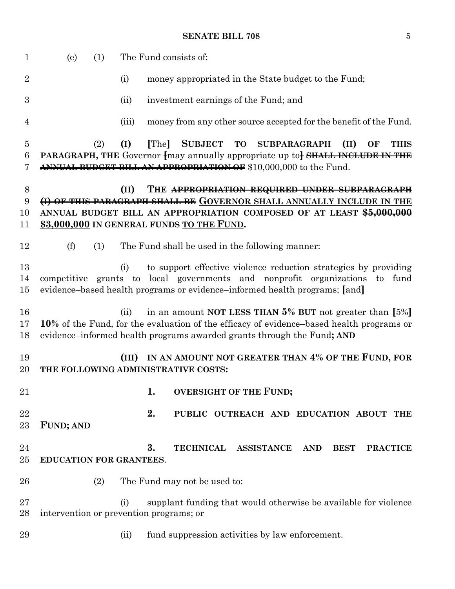| $\mathbf 1$         | (e)                     | (1) |       | The Fund consists of:                                                                                                                                                                                                                       |
|---------------------|-------------------------|-----|-------|---------------------------------------------------------------------------------------------------------------------------------------------------------------------------------------------------------------------------------------------|
| $\overline{2}$      |                         |     | (i)   | money appropriated in the State budget to the Fund;                                                                                                                                                                                         |
| 3                   |                         |     | (ii)  | investment earnings of the Fund; and                                                                                                                                                                                                        |
| 4                   |                         |     | (iii) | money from any other source accepted for the benefit of the Fund.                                                                                                                                                                           |
| $\overline{5}$<br>6 |                         | (2) | (I)   | [The]<br><b>SUBJECT</b><br>TO SUBPARAGRAPH<br>(II)<br><b>THIS</b><br>OF<br><b>PARAGRAPH, THE Governor fively annually appropriate up to SHALL INCLUDE IN THE</b>                                                                            |
| 7                   |                         |     |       | ANNUAL BUDGET BILL AN APPROPRIATION OF \$10,000,000 to the Fund.                                                                                                                                                                            |
| 8<br>9<br>10<br>11  |                         |     | (II)  | THE APPROPRIATION REQUIRED UNDER SUBPARAGRAPH<br>(I) OF THIS PARAGRAPH SHALL BE GOVERNOR SHALL ANNUALLY INCLUDE IN THE<br>ANNUAL BUDGET BILL AN APPROPRIATION COMPOSED OF AT LEAST \$5,000,000<br>\$3,000,000 IN GENERAL FUNDS TO THE FUND. |
| 12                  | (f)                     | (1) |       | The Fund shall be used in the following manner:                                                                                                                                                                                             |
| 13<br>14<br>15      |                         |     | (i)   | to support effective violence reduction strategies by providing<br>competitive grants to local governments and nonprofit organizations<br>to<br>fund<br>evidence-based health programs or evidence-informed health programs; [and]          |
| 16<br>17<br>18      |                         |     | (ii)  | in an amount NOT LESS THAN $5\%$ BUT not greater than $[5\%]$<br>10% of the Fund, for the evaluation of the efficacy of evidence–based health programs or<br>evidence–informed health programs awarded grants through the Fund; AND         |
| 19<br>20            |                         |     | (III) | IN AN AMOUNT NOT GREATER THAN 4% OF THE FUND, FOR<br>THE FOLLOWING ADMINISTRATIVE COSTS:                                                                                                                                                    |
| 21                  |                         |     |       | 1.<br><b>OVERSIGHT OF THE FUND;</b>                                                                                                                                                                                                         |
| 22<br>23            | <b>FUND; AND</b>        |     |       | 2.<br>PUBLIC OUTREACH AND EDUCATION ABOUT THE                                                                                                                                                                                               |
| 24<br>25            | EDUCATION FOR GRANTEES. |     |       | 3.<br><b>TECHNICAL</b><br><b>ASSISTANCE</b><br><b>AND</b><br><b>BEST</b><br><b>PRACTICE</b>                                                                                                                                                 |
| 26                  |                         | (2) |       | The Fund may not be used to:                                                                                                                                                                                                                |
| 27<br>28            |                         |     | (i)   | supplant funding that would otherwise be available for violence<br>intervention or prevention programs; or                                                                                                                                  |
| 29                  |                         |     | (ii)  | fund suppression activities by law enforcement.                                                                                                                                                                                             |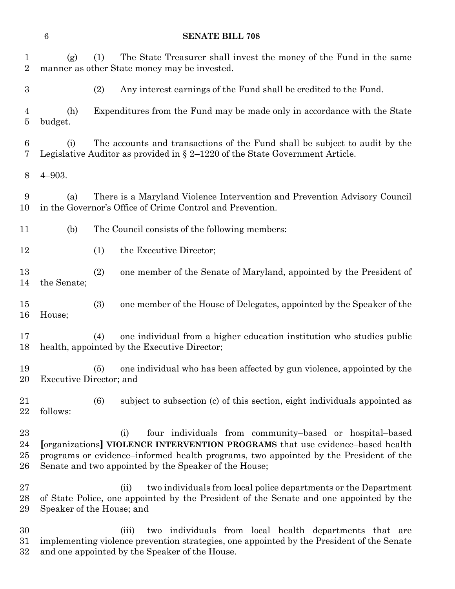(g) (1) The State Treasurer shall invest the money of the Fund in the same manner as other State money may be invested. (2) Any interest earnings of the Fund shall be credited to the Fund. (h) Expenditures from the Fund may be made only in accordance with the State budget. (i) The accounts and transactions of the Fund shall be subject to audit by the Legislative Auditor as provided in § 2–1220 of the State Government Article. 4–903. (a) There is a Maryland Violence Intervention and Prevention Advisory Council in the Governor's Office of Crime Control and Prevention. (b) The Council consists of the following members: 12 (1) the Executive Director; (2) one member of the Senate of Maryland, appointed by the President of the Senate; (3) one member of the House of Delegates, appointed by the Speaker of the House; (4) one individual from a higher education institution who studies public health, appointed by the Executive Director; (5) one individual who has been affected by gun violence, appointed by the Executive Director; and (6) subject to subsection (c) of this section, eight individuals appointed as follows: (i) four individuals from community–based or hospital–based **[**organizations**] VIOLENCE INTERVENTION PROGRAMS** that use evidence–based health programs or evidence–informed health programs, two appointed by the President of the Senate and two appointed by the Speaker of the House; (ii) two individuals from local police departments or the Department of State Police, one appointed by the President of the Senate and one appointed by the Speaker of the House; and (iii) two individuals from local health departments that are

 implementing violence prevention strategies, one appointed by the President of the Senate and one appointed by the Speaker of the House.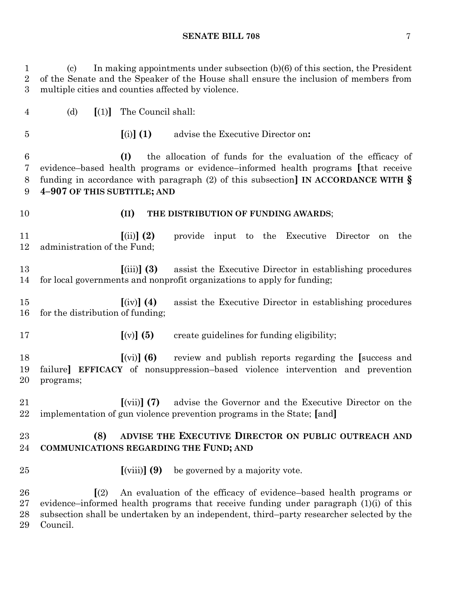(c) In making appointments under subsection (b)(6) of this section, the President of the Senate and the Speaker of the House shall ensure the inclusion of members from multiple cities and counties affected by violence.

(d) **[**(1)**]** The Council shall:

**[**(i)**] (1)** advise the Executive Director on**:**

 **(I)** the allocation of funds for the evaluation of the efficacy of evidence–based health programs or evidence–informed health programs **[**that receive funding in accordance with paragraph (2) of this subsection**] IN ACCORDANCE WITH § 4–907 OF THIS SUBTITLE; AND**

## **(II) THE DISTRIBUTION OF FUNDING AWARDS**;

 **[**(ii)**] (2)** provide input to the Executive Director on the administration of the Fund;

 **[**(iii)**] (3)** assist the Executive Director in establishing procedures for local governments and nonprofit organizations to apply for funding;

 **[**(iv)**] (4)** assist the Executive Director in establishing procedures for the distribution of funding;

**[**(v)**] (5)** create guidelines for funding eligibility;

 **[**(vi)**] (6)** review and publish reports regarding the **[**success and failure**] EFFICACY** of nonsuppression–based violence intervention and prevention programs;

 **[**(vii)**] (7)** advise the Governor and the Executive Director on the implementation of gun violence prevention programs in the State; **[**and**]**

# **(8) ADVISE THE EXECUTIVE DIRECTOR ON PUBLIC OUTREACH AND COMMUNICATIONS REGARDING THE FUND; AND**

**[**(viii)**] (9)** be governed by a majority vote.

 **[**(2) An evaluation of the efficacy of evidence–based health programs or evidence–informed health programs that receive funding under paragraph (1)(i) of this subsection shall be undertaken by an independent, third–party researcher selected by the Council.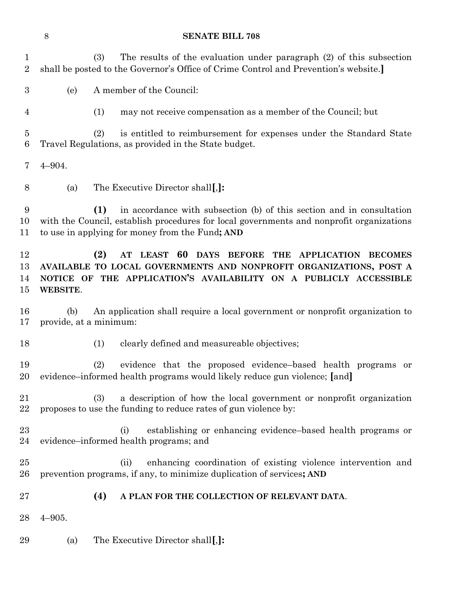|                                | $8\,$      | <b>SENATE BILL 708</b>                                                                                                                                                                                                      |
|--------------------------------|------------|-----------------------------------------------------------------------------------------------------------------------------------------------------------------------------------------------------------------------------|
| $\mathbf{1}$<br>$\overline{2}$ |            | The results of the evaluation under paragraph (2) of this subsection<br>(3)<br>shall be posted to the Governor's Office of Crime Control and Prevention's website.]                                                         |
| $\boldsymbol{3}$               | (e)        | A member of the Council:                                                                                                                                                                                                    |
| 4                              |            | (1)<br>may not receive compensation as a member of the Council; but                                                                                                                                                         |
| $\overline{5}$<br>6            |            | (2)<br>is entitled to reimbursement for expenses under the Standard State<br>Travel Regulations, as provided in the State budget.                                                                                           |
| 7                              | $4 - 904.$ |                                                                                                                                                                                                                             |
| 8                              | (a)        | The Executive Director shall[,]:                                                                                                                                                                                            |
| 9<br>10<br>11                  |            | in accordance with subsection (b) of this section and in consultation<br>(1)<br>with the Council, establish procedures for local governments and nonprofit organizations<br>to use in applying for money from the Fund; AND |
| 12<br>13<br>14<br>15           | WEBSITE.   | (2)<br>AT LEAST 60 DAYS BEFORE THE APPLICATION BECOMES<br>AVAILABLE TO LOCAL GOVERNMENTS AND NONPROFIT ORGANIZATIONS, POST A<br>NOTICE OF THE APPLICATION'S AVAILABILITY ON A PUBLICLY ACCESSIBLE                           |
| 16<br>17                       | (b)        | An application shall require a local government or nonprofit organization to<br>provide, at a minimum:                                                                                                                      |
| 18                             |            | clearly defined and measureable objectives;<br>(1)                                                                                                                                                                          |
| 19<br>20                       |            | (2) evidence that the proposed evidence-based health programs or<br>evidence–informed health programs would likely reduce gun violence; [and]                                                                               |
| 21<br>22                       |            | a description of how the local government or nonprofit organization<br>(3)<br>proposes to use the funding to reduce rates of gun violence by:                                                                               |
| 23<br>24                       |            | establishing or enhancing evidence-based health programs or<br>(i)<br>evidence-informed health programs; and                                                                                                                |
| 25<br>$26\,$                   |            | enhancing coordination of existing violence intervention and<br>(ii)<br>prevention programs, if any, to minimize duplication of services; AND                                                                               |
| $27\,$                         |            | (4)<br>A PLAN FOR THE COLLECTION OF RELEVANT DATA.                                                                                                                                                                          |
| 28                             | $4 - 905.$ |                                                                                                                                                                                                                             |
| 29                             | (a)        | The Executive Director shall[,]:                                                                                                                                                                                            |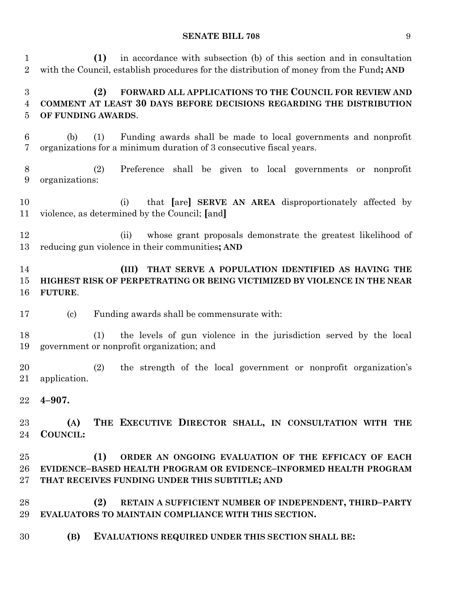**(1)** in accordance with subsection (b) of this section and in consultation with the Council, establish procedures for the distribution of money from the Fund**; AND**

# **(2) FORWARD ALL APPLICATIONS TO THE COUNCIL FOR REVIEW AND COMMENT AT LEAST 30 DAYS BEFORE DECISIONS REGARDING THE DISTRIBUTION OF FUNDING AWARDS**.

- (b) (1) Funding awards shall be made to local governments and nonprofit organizations for a minimum duration of 3 consecutive fiscal years.
- (2) Preference shall be given to local governments or nonprofit organizations:
- (i) that **[**are**] SERVE AN AREA** disproportionately affected by violence, as determined by the Council; **[**and**]**
- (ii) whose grant proposals demonstrate the greatest likelihood of reducing gun violence in their communities**; AND**

# **(III) THAT SERVE A POPULATION IDENTIFIED AS HAVING THE HIGHEST RISK OF PERPETRATING OR BEING VICTIMIZED BY VIOLENCE IN THE NEAR FUTURE**.

- (c) Funding awards shall be commensurate with:
- (1) the levels of gun violence in the jurisdiction served by the local government or nonprofit organization; and
- (2) the strength of the local government or nonprofit organization's application.
- **4–907.**

 **(A) THE EXECUTIVE DIRECTOR SHALL, IN CONSULTATION WITH THE COUNCIL:**

- **(1) ORDER AN ONGOING EVALUATION OF THE EFFICACY OF EACH EVIDENCE–BASED HEALTH PROGRAM OR EVIDENCE–INFORMED HEALTH PROGRAM THAT RECEIVES FUNDING UNDER THIS SUBTITLE; AND**
- **(2) RETAIN A SUFFICIENT NUMBER OF INDEPENDENT, THIRD–PARTY EVALUATORS TO MAINTAIN COMPLIANCE WITH THIS SECTION.**
- **(B) EVALUATIONS REQUIRED UNDER THIS SECTION SHALL BE:**